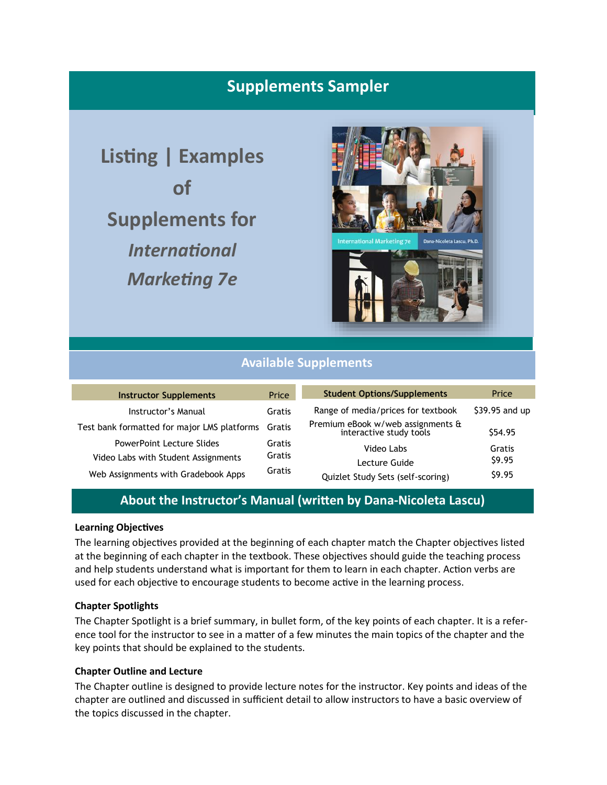## **Supplements Sampler**

**Listing | Examples of Supplements for**  *International Marketing 7e*



### **Available Supplements**

| <b>Instructor Supplements</b>               | Price  | <b>Student Options/Supplements</b>                           | Price          |
|---------------------------------------------|--------|--------------------------------------------------------------|----------------|
| Instructor's Manual                         | Gratis | Range of media/prices for textbook                           | \$39.95 and up |
| Test bank formatted for major LMS platforms | Gratis | Premium eBook w/web assignments &<br>interactive study tools | S54.95         |
| <b>PowerPoint Lecture Slides</b>            | Gratis | Video Labs                                                   | Gratis         |
| Video Labs with Student Assignments         | Gratis | Lecture Guide                                                | \$9.95         |
| Web Assignments with Gradebook Apps         | Gratis | Quizlet Study Sets (self-scoring)                            | \$9.95         |

### **About the Instructor's Manual (written by Dana-Nicoleta Lascu)**

#### **Learning Objectives**

The learning objectives provided at the beginning of each chapter match the Chapter objectives listed at the beginning of each chapter in the textbook. These objectives should guide the teaching process and help students understand what is important for them to learn in each chapter. Action verbs are used for each objective to encourage students to become active in the learning process.

#### **Chapter Spotlights**

The Chapter Spotlight is a brief summary, in bullet form, of the key points of each chapter. It is a reference tool for the instructor to see in a matter of a few minutes the main topics of the chapter and the key points that should be explained to the students.

#### **Chapter Outline and Lecture**

The Chapter outline is designed to provide lecture notes for the instructor. Key points and ideas of the chapter are outlined and discussed in sufficient detail to allow instructors to have a basic overview of the topics discussed in the chapter.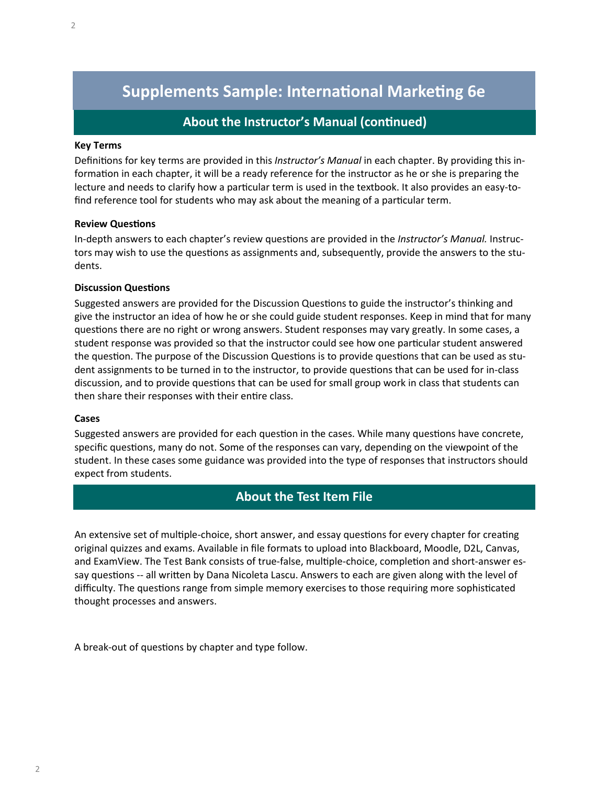# **Supplements Sample: International Marketing 6e**

### **About the Instructor's Manual (continued)**

#### **Key Terms**

Definitions for key terms are provided in this *Instructor's Manual* in each chapter. By providing this information in each chapter, it will be a ready reference for the instructor as he or she is preparing the lecture and needs to clarify how a particular term is used in the textbook. It also provides an easy-tofind reference tool for students who may ask about the meaning of a particular term.

#### **Review Questions**

In-depth answers to each chapter's review questions are provided in the *Instructor's Manual.* Instructors may wish to use the questions as assignments and, subsequently, provide the answers to the students.

#### **Discussion Questions**

Suggested answers are provided for the Discussion Questions to guide the instructor's thinking and give the instructor an idea of how he or she could guide student responses. Keep in mind that for many questions there are no right or wrong answers. Student responses may vary greatly. In some cases, a student response was provided so that the instructor could see how one particular student answered the question. The purpose of the Discussion Questions is to provide questions that can be used as student assignments to be turned in to the instructor, to provide questions that can be used for in-class discussion, and to provide questions that can be used for small group work in class that students can then share their responses with their entire class.

#### **Cases**

Suggested answers are provided for each question in the cases. While many questions have concrete, specific questions, many do not. Some of the responses can vary, depending on the viewpoint of the student. In these cases some guidance was provided into the type of responses that instructors should expect from students.

### **About the Test Item File**

An extensive set of multiple-choice, short answer, and essay questions for every chapter for creating original quizzes and exams. Available in file formats to upload into Blackboard, Moodle, D2L, Canvas, and ExamView. The Test Bank consists of true-false, multiple-choice, completion and short-answer essay questions -- all written by Dana Nicoleta Lascu. Answers to each are given along with the level of difficulty. The questions range from simple memory exercises to those requiring more sophisticated thought processes and answers.

A break-out of questions by chapter and type follow.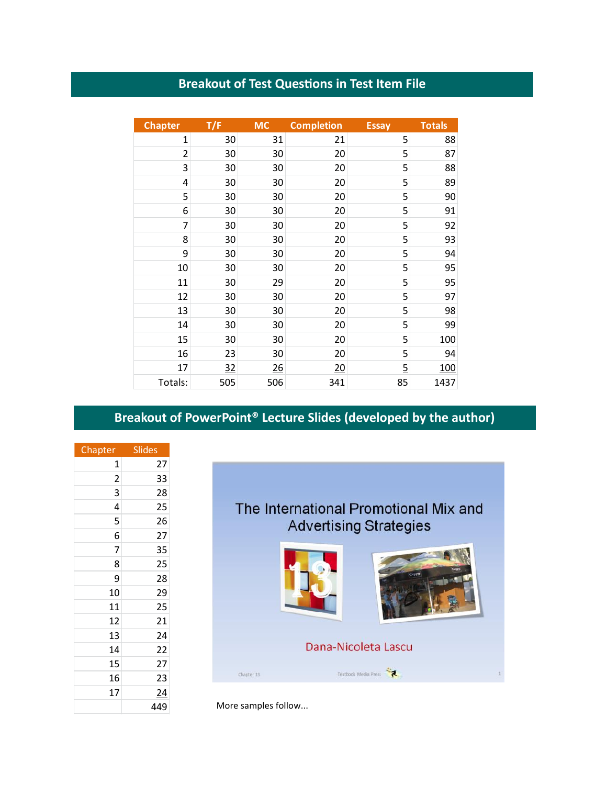## **Breakout of Test Questions in Test Item File**

| <b>Chapter</b> | T/F | <b>MC</b>      | <b>Completion</b> | <b>Essay</b> | <b>Totals</b> |
|----------------|-----|----------------|-------------------|--------------|---------------|
| $\mathbf 1$    | 30  | 31             | 21                | 5            | 88            |
| $\overline{2}$ | 30  | 30             | 20                | 5            | 87            |
| 3              | 30  | 30             | 20                | 5            | 88            |
| 4              | 30  | 30             | 20                | 5            | 89            |
| 5              | 30  | 30             | 20                | 5            | 90            |
| 6              | 30  | 30             | 20                | 5            | 91            |
| 7              | 30  | 30             | 20                | 5            | 92            |
| 8              | 30  | 30             | 20                | 5            | 93            |
| 9              | 30  | 30             | 20                | 5            | 94            |
| 10             | 30  | 30             | 20                | 5            | 95            |
| 11             | 30  | 29             | 20                | 5            | 95            |
| 12             | 30  | 30             | 20                | 5            | 97            |
| 13             | 30  | 30             | 20                | 5            | 98            |
| 14             | 30  | 30             | 20                | 5            | 99            |
| 15             | 30  | 30             | 20                | 5            | 100           |
| 16             | 23  | 30             | 20                | 5            | 94            |
| 17             | 32  | $\frac{26}{5}$ | $\overline{20}$   | <u>5</u>     | <u>100</u>    |
| Totals:        | 505 | 506            | 341               | 85           | 1437          |

# **Breakout of PowerPoint® Lecture Slides (developed by the author)**

| Chapter                 | <b>Slides</b>  |
|-------------------------|----------------|
| 1                       | 27             |
| $\overline{\mathbf{c}}$ | 33             |
| 3                       | 28             |
| 4                       | 25             |
| 5                       | 26             |
| 6                       | 27             |
| 7                       | 35             |
| 8                       | 25             |
| 9                       | 28             |
| 10                      | 29             |
| 11                      | 25             |
| 12                      | 21             |
| 13                      | 24             |
| 14                      | 22             |
| 15                      | 27             |
| 16                      | 23             |
| 17                      | $\frac{24}{1}$ |
|                         | 449            |





## Dana-Nicoleta Lascu

Textbook Media Press